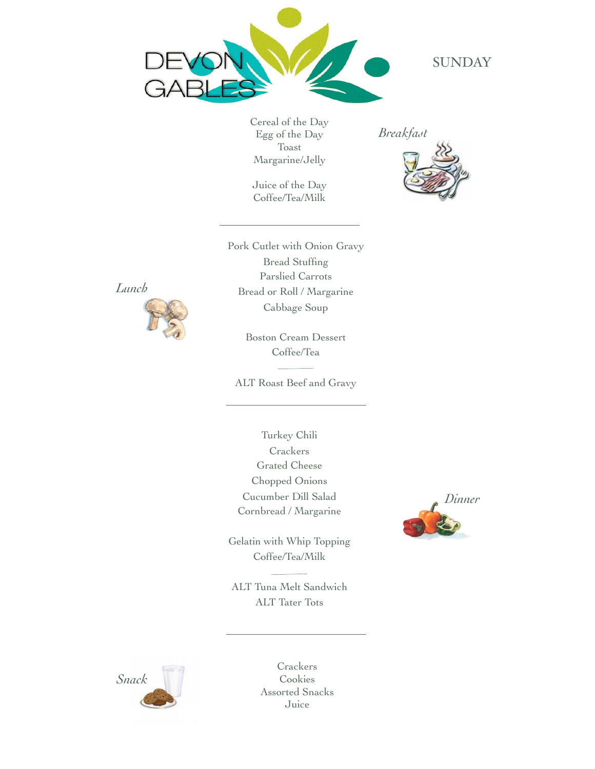

**SUNDAY** 

Cereal of the Day Egg of the Day Toast Margarine/Jelly

Juice of the Day Coffee/Tea/Milk



Pork Cutlet with Onion Gravy Bread Stuffing Parslied Carrots Bread or Roll / Margarine Cabbage Soup

> Boston Cream Dessert Coffee/Tea

ALT Roast Beef and Gravy

Turkey Chili **Crackers** Grated Cheese Chopped Onions Cucumber Dill Salad Cornbread / Margarine

Gelatin with Whip Topping Coffee/Tea/Milk

ALT Tuna Melt Sandwich ALT Tater Tots





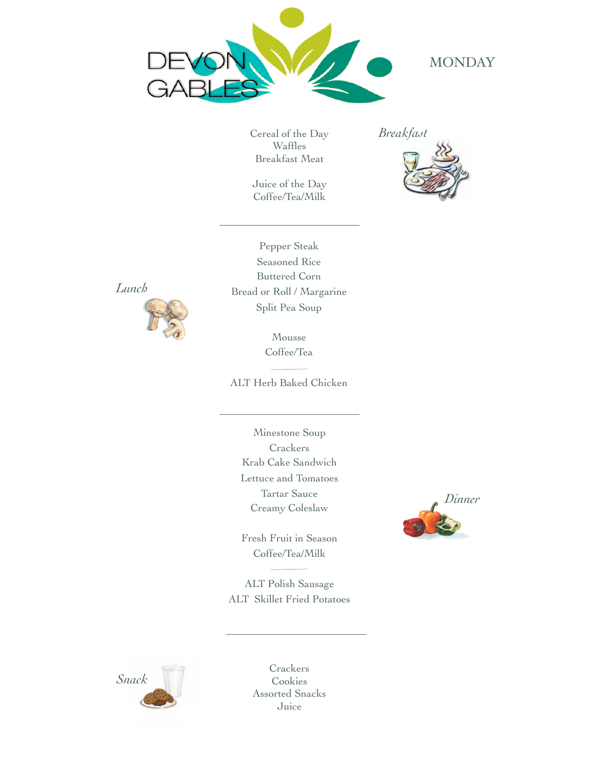

# **MONDAY**

Cereal of the Day Waffles Breakfast Meat

Juice of the Day Coffee/Tea/Milk







Pepper Steak Seasoned Rice Buttered Corn Bread or Roll / Margarine Split Pea Soup

> Mousse Coffee/Tea

ALT Herb Baked Chicken

Minestone Soup **Crackers** Krab Cake Sandwich Lettuce and Tomatoes Tartar Sauce Creamy Coleslaw

Fresh Fruit in Season Coffee/Tea/Milk

ALT Polish Sausage ALT Skillet Fried Potatoes



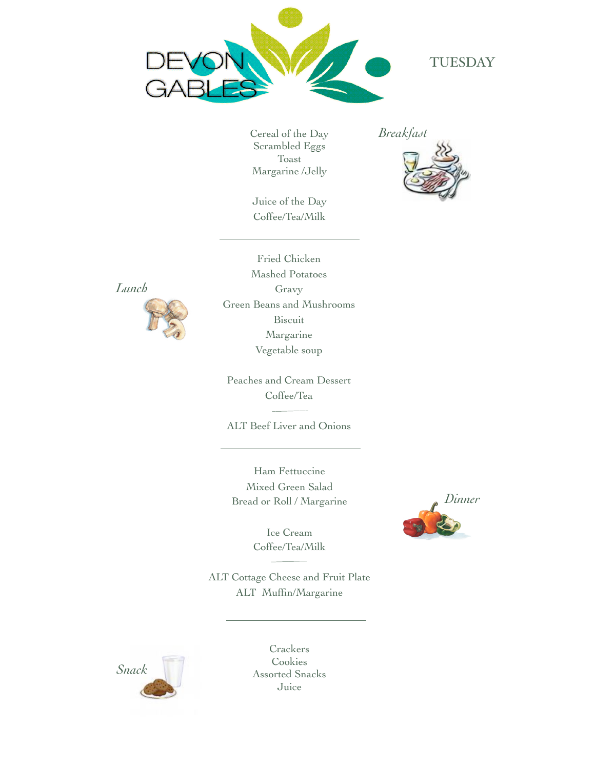

### TUESDAY

Cereal of the Day Scrambled Eggs Toast Margarine /Jelly

Juice of the Day Coffee/Tea/Milk

*Breakfast*





Fried Chicken Mashed Potatoes Gravy Green Beans and Mushrooms Biscuit Margarine Vegetable soup

Peaches and Cream Dessert Coffee/Tea

ALT Beef Liver and Onions

Ham Fettuccine Mixed Green Salad Bread or Roll / Margarine

> Ice Cream Coffee/Tea/Milk

ALT Cottage Cheese and Fruit Plate ALT Muffin/Margarine



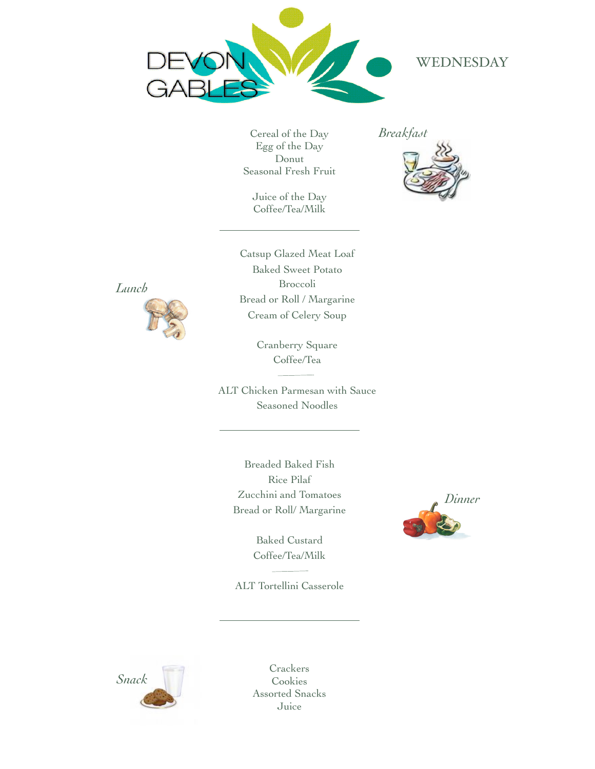

# WEDNESDAY

Cereal of the Day Egg of the Day Donut Seasonal Fresh Fruit

Juice of the Day Coffee/Tea/Milk





Catsup Glazed Meat Loaf Baked Sweet Potato Broccoli Bread or Roll / Margarine Cream of Celery Soup



ALT Chicken Parmesan with Sauce Seasoned Noodles

Breaded Baked Fish Rice Pilaf Zucchini and Tomatoes Bread or Roll/ Margarine

> Baked Custard Coffee/Tea/Milk

ALT Tortellini Casserole





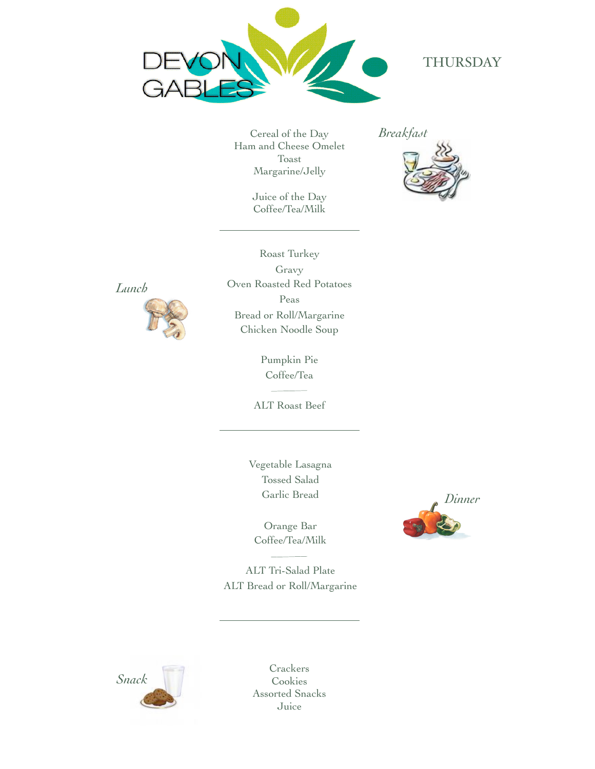

### THURSDAY

Cereal of the Day Ham and Cheese Omelet Toast Margarine/Jelly

> Juice of the Day Coffee/Tea/Milk







Roast Turkey Gravy Oven Roasted Red Potatoes Peas Bread or Roll/Margarine Chicken Noodle Soup

> Pumpkin Pie Coffee/Tea

ALT Roast Beef

Vegetable Lasagna Tossed Salad Garlic Bread

Orange Bar Coffee/Tea/Milk

ALT Tri-Salad Plate ALT Bread or Roll/Margarine



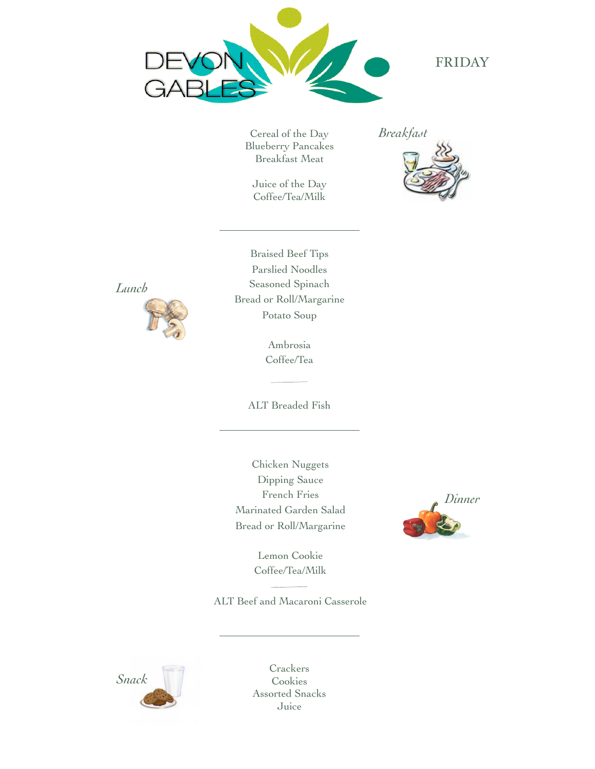

FRIDAY

Cereal of the Day Blueberry Pancakes Breakfast Meat

Juice of the Day Coffee/Tea/Milk





Braised Beef Tips Parslied Noodles Seasoned Spinach Bread or Roll/Margarine Potato Soup

> Ambrosia Coffee/Tea

ALT Breaded Fish

Chicken Nuggets Dipping Sauce French Fries Marinated Garden Salad Bread or Roll/Margarine



Lemon Cookie Coffee/Tea/Milk

ALT Beef and Macaroni Casserole